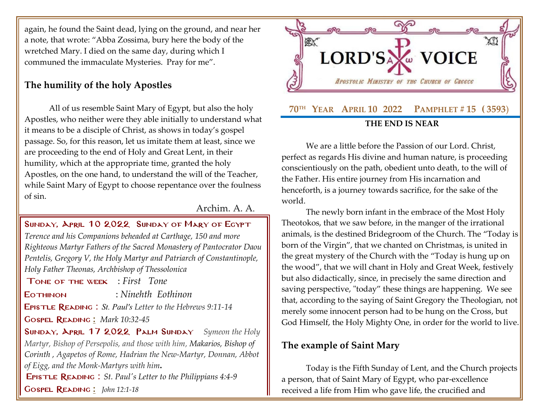again, he found the Saint dead, lying on the ground, and near her a note, that wrote: "Abba Zossima, bury here the body of the wretched Mary. I died on the same day, during which I communed the immaculate Mysteries. Pray for me".

## **The humility of the holy Apostles**

All of us resemble Saint Mary of Egypt, but also the holy Apostles, who neither were they able initially to understand what it means to be a disciple of Christ, as shows in today's gospel passage. So, for this reason, let us imitate them at least, since we are proceeding to the end of Holy and Great Lent, in their humility, which at the appropriate time, granted the holy Apostles, on the one hand, to understand the will of the Teacher, while Saint Mary of Egypt to choose repentance over the foulness of sin.

Archim. A. A.

## Sunday, April 10 2022 Sunday [of Mary of Egypt](http://www.goarch.org/chapel/saints?contentid=1016&PCode=MEATS&D=S&date=02/27/2022)

*[Terence and his Companions beheaded at Carthage, 150 and more](http://www.goarch.org/chapel/saints?contentid=13)  [Righteous Martyr Fathers of the Sacred Monastery of Pantocrator Daou](http://www.goarch.org/chapel/saints?contentid=13)  [Pentelis, Gregory V, the Holy Martyr and Patriarch of Constantinople,](http://www.goarch.org/chapel/saints?contentid=13)  [Holy Father Theonas, Archbishop of Thessolonica](http://www.goarch.org/chapel/saints?contentid=13)*

[T](http://www.goarch.org/chapel/saints?contentid=13)one of the week : *First Tone*

Eothinon : *Ninehth Eothinon*

Epistle Reading : *St. Paul's Letter to the Hebrews 9:11-14*

Gospel Reading **[:](http://www.goarch.org/chapel/lectionary?type=G&code=362&event=218)** *[Mark 10:32-45](http://www.goarch.org/chapel/lectionary?type=G&code=324&event=1083)*

Sunday, April 17 2022 [Palm Sunday](http://www.goarch.org/chapel/saints?contentid=1016&PCode=MEATS&D=S&date=02/27/2022) *[Symeon the Holy](http://www.goarch.org/chapel/saints?contentid=13)  [Martyr, Bishop of Persepolis, and those with him, Makarios, Bishop of](http://www.goarch.org/chapel/saints?contentid=13)  [Corinth](http://www.goarch.org/chapel/saints?contentid=23) , Agapetos of Rome, Hadrian the New-Martyr, Donnan, Abbot [of Eigg, and the Monk-Martyrs with him](http://www.goarch.org/chapel/saints?contentid=13)***.**

[E](http://www.goarch.org/chapel/saints?contentid=13)pistle Reading : *[St. Paul's Letter to the Philippians 4:4-9](http://www.goarch.org/chapel/lectionary?type=E&code=147&event=928&date=04/17/2022)*

Gospel Reading **[:](http://www.goarch.org/chapel/lectionary?type=G&code=362&event=218)** *[John 12:1-18](http://www.goarch.org/chapel/lectionary?type=G&code=300&event=900)*



We are a little before the Passion of our Lord. Christ, perfect as regards His divine and human nature, is proceeding conscientiously on the path, obedient unto death, to the will of the Father. His entire journey from His incarnation and henceforth, is a journey towards sacrifice, for the sake of the world.

The newly born infant in the embrace of the Most Holy Theotokos, that we saw before, in the manger of the irrational animals, is the destined Bridegroom of the Church. The "Today is born of the Virgin", that we chanted on Christmas, is united in the great mystery of the Church with the "Today is hung up on the wood", that we will chant in Holy and Great Week, festively but also didactically, since, in precisely the same direction and saving perspective, "today" these things are happening. We see that, according to the saying of Saint Gregory the Theologian, not merely some innocent person had to be hung on the Cross, but God Himself, the Holy Mighty One, in order for the world to live.

## **The example of Saint Mary**

Today is the Fifth Sunday of Lent, and the Church projects a person, that of Saint Mary of Egypt, who par-excellence received a life from Him who gave life, the crucified and